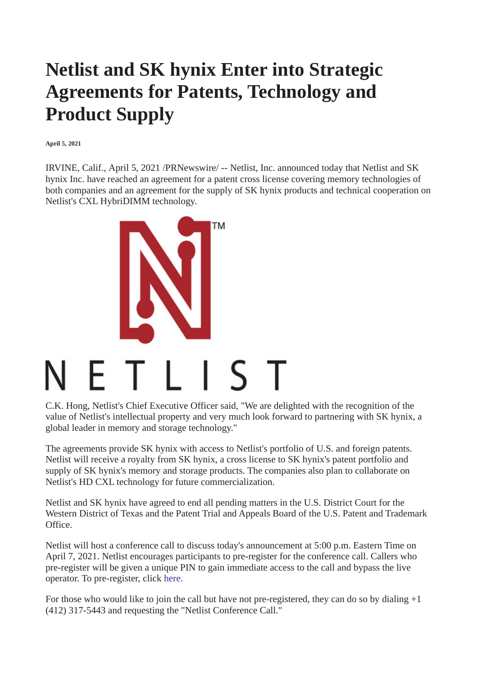## **Netlist and SK hynix Enter into Strategic Agreements for Patents, Technology and Product Supply**

**April 5, 2021**

IRVINE, Calif., April 5, 2021 /PRNewswire/ -- Netlist, Inc. announced today that Netlist and SK hynix Inc. have reached an agreement for a patent cross license covering memory technologies of both companies and an agreement for the supply of SK hynix products and technical cooperation on Netlist's CXL HybriDIMM technology.



C.K. Hong, Netlist's Chief Executive Officer said, "We are delighted with the recognition of the value of Netlist's intellectual property and very much look forward to partnering with SK hynix, a global leader in memory and storage technology."

The agreements provide SK hynix with access to Netlist's portfolio of U.S. and foreign patents. Netlist will receive a royalty from SK hynix, a cross license to SK hynix's patent portfolio and supply of SK hynix's memory and storage products. The companies also plan to collaborate on Netlist's HD CXL technology for future commercialization.

Netlist and SK hynix have agreed to end all pending matters in the U.S. District Court for the Western District of Texas and the Patent Trial and Appeals Board of the U.S. Patent and Trademark Office.

Netlist will host a conference call to discuss today's announcement at 5:00 p.m. Eastern Time on April 7, 2021. Netlist encourages participants to pre-register for the conference call. Callers who pre-register will be given a unique PIN to gain immediate access to the call and bypass the live operator. To pre-register, click [here.](https://c212.net/c/link/?t=0&l=en&o=3119102-1&h=2461109824&u=https%3A%2F%2Fdpregister.com%2Fsreg%2F10154314%2Fe638df450a&a=here)

For those who would like to join the call but have not pre-registered, they can do so by dialing +1 (412) 317-5443 and requesting the "Netlist Conference Call."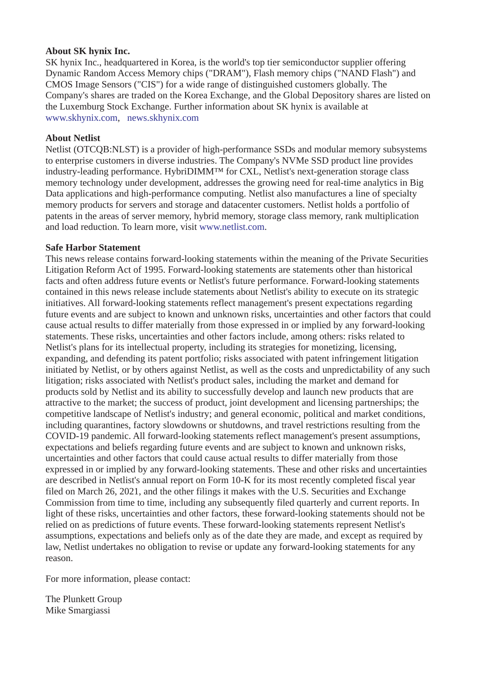## **About SK hynix Inc.**

SK hynix Inc., headquartered in Korea, is the world's top tier semiconductor supplier offering Dynamic Random Access Memory chips ("DRAM"), Flash memory chips ("NAND Flash") and CMOS Image Sensors ("CIS") for a wide range of distinguished customers globally. The Company's shares are traded on the Korea Exchange, and the Global Depository shares are listed on the Luxemburg Stock Exchange. Further information about SK hynix is available at [www.skhynix.com](https://c212.net/c/link/?t=0&l=en&o=3119102-1&h=2732107536&u=http%3A%2F%2Fwww.skhynix.com%2F&a=www.skhynix.com), [news.skhynix.com](https://c212.net/c/link/?t=0&l=en&o=3119102-1&h=977769592&u=http%3A%2F%2Fnews.skhynix.com%2F&a=news.skhynix.com)

## **About Netlist**

Netlist (OTCQB:NLST) is a provider of high-performance SSDs and modular memory subsystems to enterprise customers in diverse industries. The Company's NVMe SSD product line provides industry-leading performance. HybriDIMM™ for CXL, Netlist's next-generation storage class memory technology under development, addresses the growing need for real-time analytics in Big Data applications and high-performance computing. Netlist also manufactures a line of specialty memory products for servers and storage and datacenter customers. Netlist holds a portfolio of patents in the areas of server memory, hybrid memory, storage class memory, rank multiplication and load reduction. To learn more, visit [www.netlist.com.](https://c212.net/c/link/?t=0&l=en&o=3119102-1&h=1102060853&u=https%3A%2F%2Fpr.report%2FoxzdvIOV&a=www.netlist.com)

## **Safe Harbor Statement**

This news release contains forward-looking statements within the meaning of the Private Securities Litigation Reform Act of 1995. Forward-looking statements are statements other than historical facts and often address future events or Netlist's future performance. Forward-looking statements contained in this news release include statements about Netlist's ability to execute on its strategic initiatives. All forward-looking statements reflect management's present expectations regarding future events and are subject to known and unknown risks, uncertainties and other factors that could cause actual results to differ materially from those expressed in or implied by any forward-looking statements. These risks, uncertainties and other factors include, among others: risks related to Netlist's plans for its intellectual property, including its strategies for monetizing, licensing, expanding, and defending its patent portfolio; risks associated with patent infringement litigation initiated by Netlist, or by others against Netlist, as well as the costs and unpredictability of any such litigation; risks associated with Netlist's product sales, including the market and demand for products sold by Netlist and its ability to successfully develop and launch new products that are attractive to the market; the success of product, joint development and licensing partnerships; the competitive landscape of Netlist's industry; and general economic, political and market conditions, including quarantines, factory slowdowns or shutdowns, and travel restrictions resulting from the COVID-19 pandemic. All forward-looking statements reflect management's present assumptions, expectations and beliefs regarding future events and are subject to known and unknown risks, uncertainties and other factors that could cause actual results to differ materially from those expressed in or implied by any forward-looking statements. These and other risks and uncertainties are described in Netlist's annual report on Form 10-K for its most recently completed fiscal year filed on March 26, 2021, and the other filings it makes with the U.S. Securities and Exchange Commission from time to time, including any subsequently filed quarterly and current reports. In light of these risks, uncertainties and other factors, these forward-looking statements should not be relied on as predictions of future events. These forward-looking statements represent Netlist's assumptions, expectations and beliefs only as of the date they are made, and except as required by law, Netlist undertakes no obligation to revise or update any forward-looking statements for any reason.

For more information, please contact:

The Plunkett Group Mike Smargiassi